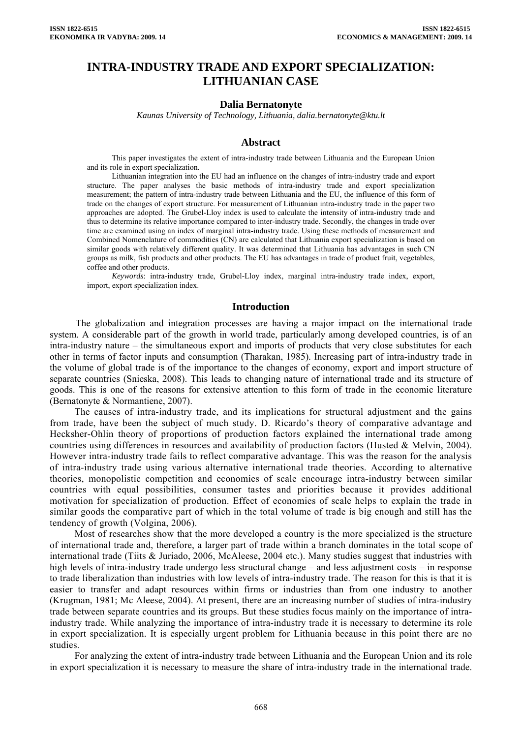# **INTRA-INDUSTRY TRADE AND EXPORT SPECIALIZATION: LITHUANIAN CASE**

#### **Dalia Bernatonyte**

*Kaunas University of Technology, Lithuania, dalia.bernatonyte@ktu.lt* 

## **Abstract**

This paper investigates the extent of intra-industry trade between Lithuania and the European Union and its role in export specialization.

Lithuanian integration into the EU had an influence on the changes of intra-industry trade and export structure. The paper analyses the basic methods of intra-industry trade and export specialization measurement; the pattern of intra-industry trade between Lithuania and the EU, the influence of this form of trade on the changes of export structure. For measurement of Lithuanian intra-industry trade in the paper two approaches are adopted. The Grubel-Lloy index is used to calculate the intensity of intra-industry trade and thus to determine its relative importance compared to inter-industry trade. Secondly, the changes in trade over time are examined using an index of marginal intra-industry trade. Using these methods of measurement and Combined Nomenclature of commodities (CN) are calculated that Lithuania export specialization is based on similar goods with relatively different quality. It was determined that Lithuania has advantages in such CN groups as milk, fish products and other products. The EU has advantages in trade of product fruit, vegetables, coffee and other products.

*Keywords*: intra-industry trade, Grubel-Lloy index, marginal intra-industry trade index, export, import, export specialization index.

#### **Introduction**

 The globalization and integration processes are having a major impact on the international trade system. A considerable part of the growth in world trade, particularly among developed countries, is of an intra-industry nature – the simultaneous export and imports of products that very close substitutes for each other in terms of factor inputs and consumption (Tharakan, 1985). Increasing part of intra-industry trade in the volume of global trade is of the importance to the changes of economy, export and import structure of separate countries (Snieska, 2008). This leads to changing nature of international trade and its structure of goods. This is one of the reasons for extensive attention to this form of trade in the economic literature (Bernatonyte & Normantiene, 2007).

The causes of intra-industry trade, and its implications for structural adjustment and the gains from trade, have been the subject of much study. D. Ricardo's theory of comparative advantage and Hecksher-Ohlin theory of proportions of production factors explained the international trade among countries using differences in resources and availability of production factors (Husted & Melvin, 2004). However intra-industry trade fails to reflect comparative advantage. This was the reason for the analysis of intra-industry trade using various alternative international trade theories. According to alternative theories, monopolistic competition and economies of scale encourage intra-industry between similar countries with equal possibilities, consumer tastes and priorities because it provides additional motivation for specialization of production. Effect of economies of scale helps to explain the trade in similar goods the comparative part of which in the total volume of trade is big enough and still has the tendency of growth (Volgina, 2006).

Most of researches show that the more developed a country is the more specialized is the structure of international trade and, therefore, a larger part of trade within a branch dominates in the total scope of international trade (Tiits & Juriado, 2006, McAleese, 2004 etc.). Many studies suggest that industries with high levels of intra-industry trade undergo less structural change – and less adjustment costs – in response to trade liberalization than industries with low levels of intra-industry trade. The reason for this is that it is easier to transfer and adapt resources within firms or industries than from one industry to another (Krugman, 1981; Mc Aleese, 2004). At present, there are an increasing number of studies of intra-industry trade between separate countries and its groups. But these studies focus mainly on the importance of intraindustry trade. While analyzing the importance of intra-industry trade it is necessary to determine its role in export specialization. It is especially urgent problem for Lithuania because in this point there are no studies.

For analyzing the extent of intra-industry trade between Lithuania and the European Union and its role in export specialization it is necessary to measure the share of intra-industry trade in the international trade.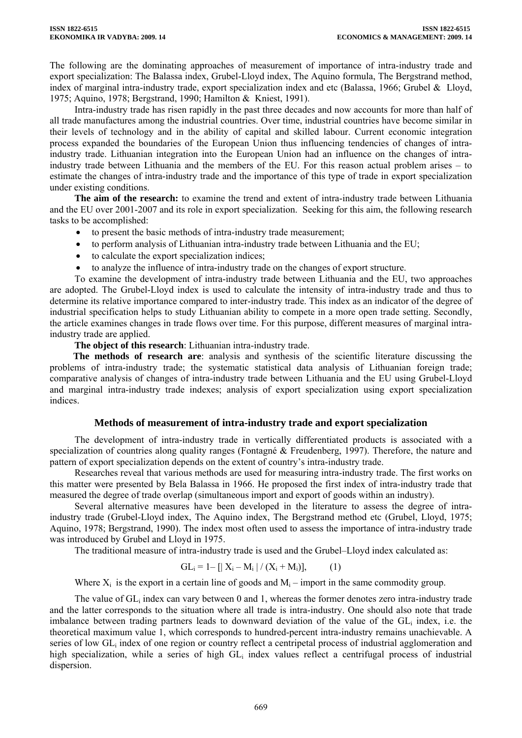The following are the dominating approaches of measurement of importance of intra-industry trade and export specialization: The Balassa index, Grubel-Lloyd index, The Aquino formula, The Bergstrand method, index of marginal intra-industry trade, export specialization index and etc (Balassa, 1966; Grubel & Lloyd, 1975; Aquino, 1978; Bergstrand, 1990; Hamilton & Kniest, 1991).

Intra-industry trade has risen rapidly in the past three decades and now accounts for more than half of all trade manufactures among the industrial countries. Over time, industrial countries have become similar in their levels of technology and in the ability of capital and skilled labour. Current economic integration process expanded the boundaries of the European Union thus influencing tendencies of changes of intraindustry trade. Lithuanian integration into the European Union had an influence on the changes of intraindustry trade between Lithuania and the members of the EU. For this reason actual problem arises – to estimate the changes of intra-industry trade and the importance of this type of trade in export specialization under existing conditions.

**The aim of the research:** to examine the trend and extent of intra-industry trade between Lithuania and the EU over 2001-2007 and its role in export specialization. Seeking for this aim, the following research tasks to be accomplished:

- to present the basic methods of intra-industry trade measurement;
- to perform analysis of Lithuanian intra-industry trade between Lithuania and the EU;
- to calculate the export specialization indices;
- to analyze the influence of intra-industry trade on the changes of export structure.

To examine the development of intra-industry trade between Lithuania and the EU, two approaches are adopted. The Grubel-Lloyd index is used to calculate the intensity of intra-industry trade and thus to determine its relative importance compared to inter-industry trade. This index as an indicator of the degree of industrial specification helps to study Lithuanian ability to compete in a more open trade setting. Secondly, the article examines changes in trade flows over time. For this purpose, different measures of marginal intraindustry trade are applied.

**The object of this research**: Lithuanian intra-industry trade.

**The methods of research are**: analysis and synthesis of the scientific literature discussing the problems of intra-industry trade; the systematic statistical data analysis of Lithuanian foreign trade; comparative analysis of changes of intra-industry trade between Lithuania and the EU using Grubel-Lloyd and marginal intra-industry trade indexes; analysis of export specialization using export specialization indices.

## **Methods of measurement of intra-industry trade and export specialization**

The development of intra-industry trade in vertically differentiated products is associated with a specialization of countries along quality ranges (Fontagné & Freudenberg, 1997). Therefore, the nature and pattern of export specialization depends on the extent of country's intra-industry trade.

Researches reveal that various methods are used for measuring intra-industry trade. The first works on this matter were presented by Bela Balassa in 1966. He proposed the first index of intra-industry trade that measured the degree of trade overlap (simultaneous import and export of goods within an industry).

Several alternative measures have been developed in the literature to assess the degree of intraindustry trade (Grubel-Lloyd index, The Aquino index, The Bergstrand method etc (Grubel, Lloyd, 1975; Aquino, 1978; Bergstrand, 1990). The index most often used to assess the importance of intra-industry trade was introduced by Grubel and Lloyd in 1975.

The traditional measure of intra-industry trade is used and the Grubel–Lloyd index calculated as:

$$
GL_i = 1 - [|X_i - M_i| / (X_i + M_i)], \qquad (1)
$$

Where  $X_i$  is the export in a certain line of goods and  $M_i$  – import in the same commodity group.

The value of GL<sub>i</sub> index can vary between 0 and 1, whereas the former denotes zero intra-industry trade and the latter corresponds to the situation where all trade is intra-industry. One should also note that trade imbalance between trading partners leads to downward deviation of the value of the GLi index, i.e. the theoretical maximum value 1, which corresponds to hundred-percent intra-industry remains unachievable. A series of low GL<sub>i</sub> index of one region or country reflect a centripetal process of industrial agglomeration and high specialization, while a series of high  $GL_i$  index values reflect a centrifugal process of industrial dispersion.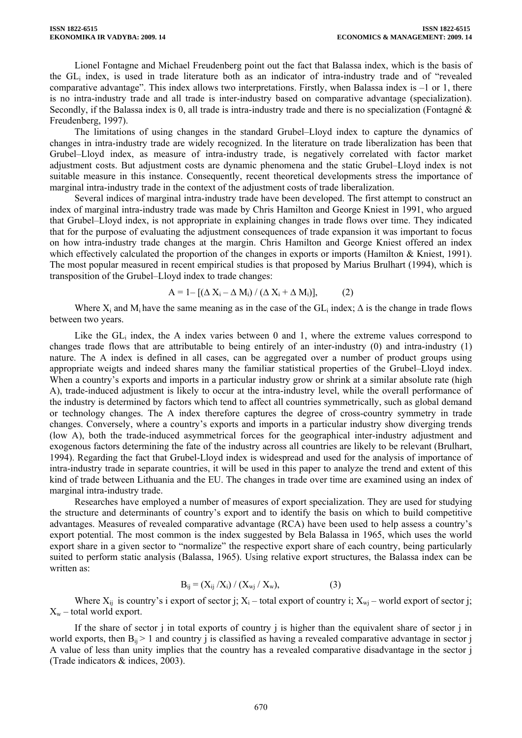Lionel Fontagne and Michael Freudenberg point out the fact that Balassa index, which is the basis of the GLi index, is used in trade literature both as an indicator of intra-industry trade and of "revealed comparative advantage". This index allows two interpretations. Firstly, when Balassa index is –1 or 1, there is no intra-industry trade and all trade is inter-industry based on comparative advantage (specialization). Secondly, if the Balassa index is 0, all trade is intra-industry trade and there is no specialization (Fontagné & Freudenberg, 1997).

The limitations of using changes in the standard Grubel–Lloyd index to capture the dynamics of changes in intra-industry trade are widely recognized. In the literature on trade liberalization has been that Grubel–Lloyd index, as measure of intra-industry trade, is negatively correlated with factor market adjustment costs. But adjustment costs are dynamic phenomena and the static Grubel–Lloyd index is not suitable measure in this instance. Consequently, recent theoretical developments stress the importance of marginal intra-industry trade in the context of the adjustment costs of trade liberalization.

Several indices of marginal intra-industry trade have been developed. The first attempt to construct an index of marginal intra-industry trade was made by Chris Hamilton and George Kniest in 1991, who argued that Grubel–Lloyd index, is not appropriate in explaining changes in trade flows over time. They indicated that for the purpose of evaluating the adjustment consequences of trade expansion it was important to focus on how intra-industry trade changes at the margin. Chris Hamilton and George Kniest offered an index which effectively calculated the proportion of the changes in exports or imports (Hamilton & Kniest, 1991). The most popular measured in recent empirical studies is that proposed by Marius Brulhart (1994), which is transposition of the Grubel–Lloyd index to trade changes:

$$
A = 1 - [(\Delta X_i - \Delta M_i) / (\Delta X_i + \Delta M_i)], \qquad (2)
$$

Where  $X_i$  and  $M_i$  have the same meaning as in the case of the GL<sub>i</sub> index;  $\Delta$  is the change in trade flows between two years.

Like the  $GL_i$  index, the A index varies between 0 and 1, where the extreme values correspond to changes trade flows that are attributable to being entirely of an inter-industry (0) and intra-industry (1) nature. The A index is defined in all cases, can be aggregated over a number of product groups using appropriate weigts and indeed shares many the familiar statistical properties of the Grubel–Lloyd index. When a country's exports and imports in a particular industry grow or shrink at a similar absolute rate (high A), trade-induced adjustment is likely to occur at the intra-industry level, while the overall performance of the industry is determined by factors which tend to affect all countries symmetrically, such as global demand or technology changes. The A index therefore captures the degree of cross-country symmetry in trade changes. Conversely, where a country's exports and imports in a particular industry show diverging trends (low A), both the trade-induced asymmetrical forces for the geographical inter-industry adjustment and exogenous factors determining the fate of the industry across all countries are likely to be relevant (Brulhart, 1994). Regarding the fact that Grubel-Lloyd index is widespread and used for the analysis of importance of intra-industry trade in separate countries, it will be used in this paper to analyze the trend and extent of this kind of trade between Lithuania and the EU. The changes in trade over time are examined using an index of marginal intra-industry trade.

Researches have employed a number of measures of export specialization. They are used for studying the structure and determinants of country's export and to identify the basis on which to build competitive advantages. Measures of revealed comparative advantage (RCA) have been used to help assess a country's export potential. The most common is the index suggested by Bela Balassa in 1965, which uses the world export share in a given sector to "normalize" the respective export share of each country, being particularly suited to perform static analysis (Balassa, 1965). Using relative export structures, the Balassa index can be written as:

$$
B_{ij} = (X_{ij} / X_i) / (X_{wj} / X_w),
$$
 (3)

Where  $X_{ij}$  is country's i export of sector j;  $X_i$  – total export of country i;  $X_{wi}$  – world export of sector j;  $X_w$  – total world export.

If the share of sector j in total exports of country j is higher than the equivalent share of sector j in world exports, then  $B_{ii} > 1$  and country i is classified as having a revealed comparative advantage in sector j A value of less than unity implies that the country has a revealed comparative disadvantage in the sector j (Trade indicators & indices, 2003).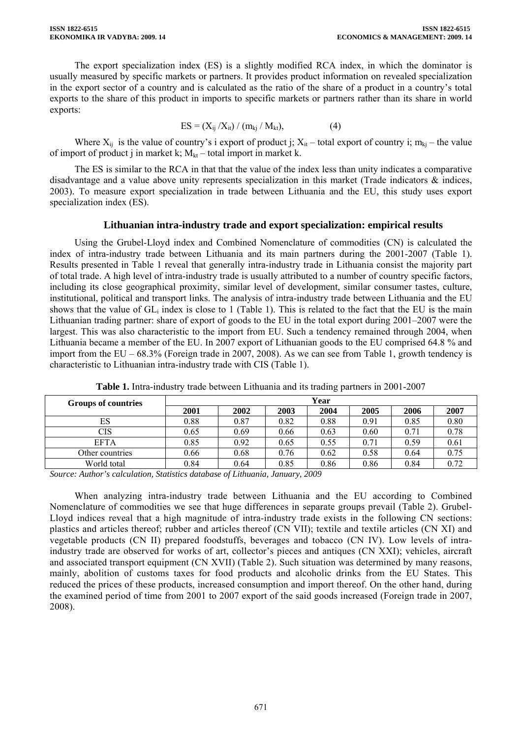The export specialization index (ES) is a slightly modified RCA index, in which the dominator is usually measured by specific markets or partners. It provides product information on revealed specialization in the export sector of a country and is calculated as the ratio of the share of a product in a country's total exports to the share of this product in imports to specific markets or partners rather than its share in world exports:

$$
ES = (X_{ij}/X_{it}) / (m_{kj}/M_{kt}), \qquad (4)
$$

Where  $X_{ii}$  is the value of country's i export of product j;  $X_{it}$  – total export of country i;  $m_{ki}$  – the value of import of product j in market k;  $M_{kt}$  – total import in market k.

The ES is similar to the RCA in that that the value of the index less than unity indicates a comparative disadvantage and a value above unity represents specialization in this market (Trade indicators & indices, 2003). To measure export specialization in trade between Lithuania and the EU, this study uses export specialization index (ES).

## **Lithuanian intra-industry trade and export specialization: empirical results**

Using the Grubel-Lloyd index and Combined Nomenclature of commodities (CN) is calculated the index of intra-industry trade between Lithuania and its main partners during the 2001-2007 (Table 1). Results presented in Table 1 reveal that generally intra-industry trade in Lithuania consist the majority part of total trade. A high level of intra-industry trade is usually attributed to a number of country specific factors, including its close geographical proximity, similar level of development, similar consumer tastes, culture, institutional, political and transport links. The analysis of intra-industry trade between Lithuania and the EU shows that the value of  $GL_i$  index is close to 1 (Table 1). This is related to the fact that the EU is the main Lithuanian trading partner: share of export of goods to the EU in the total export during 2001–2007 were the largest. This was also characteristic to the import from EU. Such a tendency remained through 2004, when Lithuania became a member of the EU. In 2007 export of Lithuanian goods to the EU comprised 64.8 % and import from the EU – 68.3% (Foreign trade in 2007, 2008). As we can see from Table 1, growth tendency is characteristic to Lithuanian intra-industry trade with CIS (Table 1).

| <b>Groups of countries</b> | Year |      |      |      |      |      |      |  |  |
|----------------------------|------|------|------|------|------|------|------|--|--|
|                            | 2001 | 2002 | 2003 | 2004 | 2005 | 2006 | 2007 |  |  |
| ES                         | 0.88 | 0.87 | 0.82 | 0.88 | 0.91 | 0.85 | 0.80 |  |  |
| CIS                        | 0.65 | 0.69 | 0.66 | 0.63 | 0.60 | 0.71 | 0.78 |  |  |
| EFTA                       | 0.85 | 0.92 | 0.65 | 0.55 | 0.71 | 0.59 | 0.61 |  |  |
| Other countries            | 0.66 | 0.68 | 0.76 | 0.62 | 0.58 | 0.64 | 0.75 |  |  |
| World total                | 0.84 | 0.64 | 0.85 | 0.86 | 0.86 | 0.84 | 0.72 |  |  |

**Table 1.** Intra-industry trade between Lithuania and its trading partners in 2001-2007

*Source: Author's calculation, Statistics database of Lithuania, January, 2009* 

When analyzing intra-industry trade between Lithuania and the EU according to Combined Nomenclature of commodities we see that huge differences in separate groups prevail (Table 2). Grubel-Lloyd indices reveal that a high magnitude of intra-industry trade exists in the following CN sections: plastics and articles thereof; rubber and articles thereof (CN VII); textile and textile articles (CN XI) and vegetable products (CN II) prepared foodstuffs, beverages and tobacco (CN IV). Low levels of intraindustry trade are observed for works of art, collector's pieces and antiques (CN XXI); vehicles, aircraft and associated transport equipment (CN XVII) (Table 2). Such situation was determined by many reasons, mainly, abolition of customs taxes for food products and alcoholic drinks from the EU States. This reduced the prices of these products, increased consumption and import thereof. On the other hand, during the examined period of time from 2001 to 2007 export of the said goods increased (Foreign trade in 2007, 2008).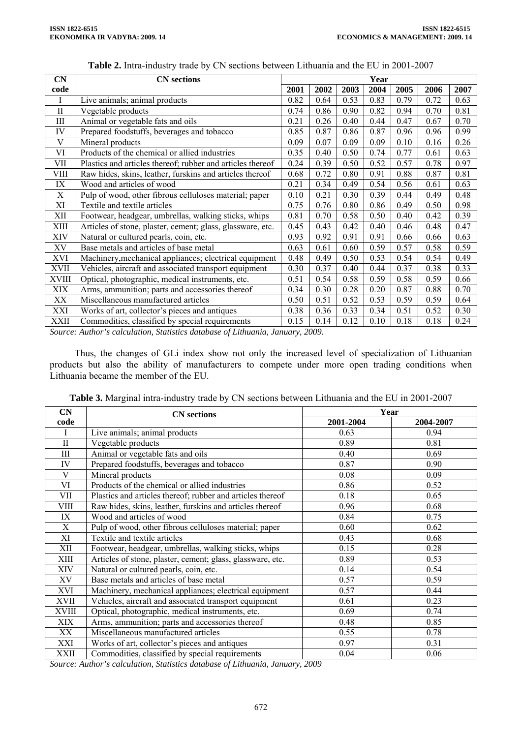| CN           | <b>CN</b> sections                                         | Year |      |      |      |      |      |      |
|--------------|------------------------------------------------------------|------|------|------|------|------|------|------|
| code         |                                                            | 2001 | 2002 | 2003 | 2004 | 2005 | 2006 | 2007 |
| Ι            | Live animals; animal products                              | 0.82 | 0.64 | 0.53 | 0.83 | 0.79 | 0.72 | 0.63 |
| $\mathbf{I}$ | Vegetable products                                         |      | 0.86 | 0.90 | 0.82 | 0.94 | 0.70 | 0.81 |
| Ш            | Animal or vegetable fats and oils                          | 0.21 | 0.26 | 0.40 | 0.44 | 0.47 | 0.67 | 0.70 |
| IV           | Prepared foodstuffs, beverages and tobacco                 | 0.85 | 0.87 | 0.86 | 0.87 | 0.96 | 0.96 | 0.99 |
| V            | Mineral products                                           | 0.09 | 0.07 | 0.09 | 0.09 | 0.10 | 0.16 | 0.26 |
| VI           | Products of the chemical or allied industries              | 0.35 | 0.40 | 0.50 | 0.74 | 0.77 | 0.61 | 0.63 |
| VII          | Plastics and articles thereof; rubber and articles thereof | 0.24 | 0.39 | 0.50 | 0.52 | 0.57 | 0.78 | 0.97 |
| VIII         | Raw hides, skins, leather, furskins and articles thereof   | 0.68 | 0.72 | 0.80 | 0.91 | 0.88 | 0.87 | 0.81 |
| IX           | Wood and articles of wood                                  | 0.21 | 0.34 | 0.49 | 0.54 | 0.56 | 0.61 | 0.63 |
| $\mathbf X$  | Pulp of wood, other fibrous celluloses material; paper     |      | 0.21 | 0.30 | 0.39 | 0.44 | 0.49 | 0.48 |
| XI           | Textile and textile articles                               | 0.75 | 0.76 | 0.80 | 0.86 | 0.49 | 0.50 | 0.98 |
| XІІ          | Footwear, headgear, umbrellas, walking sticks, whips       |      | 0.70 | 0.58 | 0.50 | 0.40 | 0.42 | 0.39 |
| XIII         | Articles of stone, plaster, cement; glass, glassware, etc. |      | 0.43 | 0.42 | 0.40 | 0.46 | 0.48 | 0.47 |
| XIV          | Natural or cultured pearls, coin, etc.                     | 0.93 | 0.92 | 0.91 | 0.91 | 0.66 | 0.66 | 0.63 |
| XV           | Base metals and articles of base metal                     | 0.63 | 0.61 | 0.60 | 0.59 | 0.57 | 0.58 | 0.59 |
| XVI          | Machinery, mechanical appliances; electrical equipment     | 0.48 | 0.49 | 0.50 | 0.53 | 0.54 | 0.54 | 0.49 |
| <b>XVII</b>  | Vehicles, aircraft and associated transport equipment      | 0.30 | 0.37 | 0.40 | 0.44 | 0.37 | 0.38 | 0.33 |
| XVIII        | Optical, photographic, medical instruments, etc.           | 0.51 | 0.54 | 0.58 | 0.59 | 0.58 | 0.59 | 0.66 |
| XIX          | Arms, ammunition; parts and accessories thereof            |      | 0.30 | 0.28 | 0.20 | 0.87 | 0.88 | 0.70 |
| XX           | Miscellaneous manufactured articles                        |      | 0.51 | 0.52 | 0.53 | 0.59 | 0.59 | 0.64 |
| XXI          | Works of art, collector's pieces and antiques              |      | 0.36 | 0.33 | 0.34 | 0.51 | 0.52 | 0.30 |
| <b>XXII</b>  | Commodities, classified by special requirements            | 0.15 | 0.14 | 0.12 | 0.10 | 0.18 | 0.18 | 0.24 |

**Table 2.** Intra-industry trade by CN sections between Lithuania and the EU in 2001-2007

*Source: Author's calculation, Statistics database of Lithuania, January, 2009.*

Thus, the changes of GLi index show not only the increased level of specialization of Lithuanian products but also the ability of manufacturers to compete under more open trading conditions when Lithuania became the member of the EU.

| CN           | <b>CN</b> sections                                         | Year      |           |  |  |  |
|--------------|------------------------------------------------------------|-----------|-----------|--|--|--|
| code         |                                                            | 2001-2004 | 2004-2007 |  |  |  |
| I            | Live animals; animal products                              | 0.63      | 0.94      |  |  |  |
| $\mathbf{I}$ | Vegetable products                                         | 0.89      | 0.81      |  |  |  |
| Ш            | Animal or vegetable fats and oils                          | 0.40      | 0.69      |  |  |  |
| IV           | Prepared foodstuffs, beverages and tobacco                 | 0.87      | 0.90      |  |  |  |
| V            | Mineral products                                           | 0.08      | 0.09      |  |  |  |
| VI           | Products of the chemical or allied industries              | 0.86      | 0.52      |  |  |  |
| VII          | Plastics and articles thereof; rubber and articles thereof | 0.18      | 0.65      |  |  |  |
| VIII         | Raw hides, skins, leather, furskins and articles thereof   | 0.96      | 0.68      |  |  |  |
| IX           | Wood and articles of wood                                  | 0.84      | 0.75      |  |  |  |
| X            | Pulp of wood, other fibrous celluloses material; paper     | 0.60      | 0.62      |  |  |  |
| XI           | Textile and textile articles                               | 0.43      | 0.68      |  |  |  |
| XII          | Footwear, headgear, umbrellas, walking sticks, whips       | 0.15      | 0.28      |  |  |  |
| XIII         | Articles of stone, plaster, cement; glass, glassware, etc. | 0.89      | 0.53      |  |  |  |
| XIV          | Natural or cultured pearls, coin, etc.                     | 0.14      | 0.54      |  |  |  |
| XV           | Base metals and articles of base metal                     | 0.57      | 0.59      |  |  |  |
| XVI          | Machinery, mechanical appliances; electrical equipment     | 0.57      | 0.44      |  |  |  |
| XVII         | Vehicles, aircraft and associated transport equipment      | 0.61      | 0.23      |  |  |  |
| XVIII        | Optical, photographic, medical instruments, etc.           | 0.69      | 0.74      |  |  |  |
| XIX          | Arms, ammunition; parts and accessories thereof            | 0.48      | 0.85      |  |  |  |
| XX           | Miscellaneous manufactured articles                        | 0.55      | 0.78      |  |  |  |
| XXI          | Works of art, collector's pieces and antiques              | 0.97      | 0.31      |  |  |  |
| <b>XXII</b>  | Commodities, classified by special requirements            | 0.04      | 0.06      |  |  |  |

**Table 3.** Marginal intra-industry trade by CN sections between Lithuania and the EU in 2001-2007

*Source: Author's calculation, Statistics database of Lithuania, January, 2009*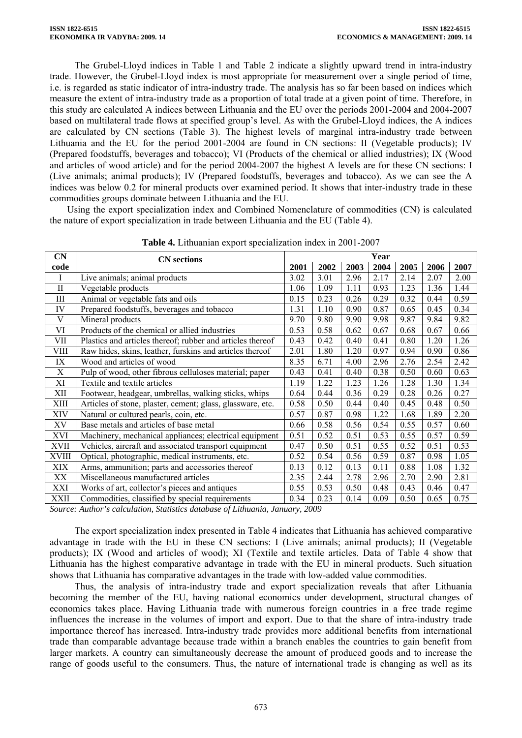The Grubel-Lloyd indices in Table 1 and Table 2 indicate a slightly upward trend in intra-industry trade. However, the Grubel-Lloyd index is most appropriate for measurement over a single period of time, i.e. is regarded as static indicator of intra-industry trade. The analysis has so far been based on indices which measure the extent of intra-industry trade as a proportion of total trade at a given point of time. Therefore, in this study are calculated A indices between Lithuania and the EU over the periods 2001-2004 and 2004-2007 based on multilateral trade flows at specified group's level. As with the Grubel-Lloyd indices, the A indices are calculated by CN sections (Table 3). The highest levels of marginal intra-industry trade between Lithuania and the EU for the period 2001-2004 are found in CN sections: II (Vegetable products); IV (Prepared foodstuffs, beverages and tobacco); VI (Products of the chemical or allied industries); IX (Wood and articles of wood article) and for the period 2004-2007 the highest A levels are for these CN sections: I (Live animals; animal products); IV (Prepared foodstuffs, beverages and tobacco). As we can see the A indices was below 0.2 for mineral products over examined period. It shows that inter-industry trade in these commodities groups dominate between Lithuania and the EU.

Using the export specialization index and Combined Nomenclature of commodities (CN) is calculated the nature of export specialization in trade between Lithuania and the EU (Table 4).

| <b>CN</b>    | <b>CN</b> sections                                         |      | Year |      |      |      |      |      |  |  |
|--------------|------------------------------------------------------------|------|------|------|------|------|------|------|--|--|
| code         |                                                            |      | 2002 | 2003 | 2004 | 2005 | 2006 | 2007 |  |  |
|              | Live animals; animal products                              | 3.02 | 3.01 | 2.96 | 2.17 | 2.14 | 2.07 | 2.00 |  |  |
| $\mathbf{I}$ | Vegetable products                                         |      | 1.09 | 1.11 | 0.93 | 1.23 | 1.36 | 1.44 |  |  |
| $\rm III$    | Animal or vegetable fats and oils                          | 0.15 | 0.23 | 0.26 | 0.29 | 0.32 | 0.44 | 0.59 |  |  |
| IV           | Prepared foodstuffs, beverages and tobacco                 | 1.31 | 1.10 | 0.90 | 0.87 | 0.65 | 0.45 | 0.34 |  |  |
| V            | Mineral products                                           | 9.70 | 9.80 | 9.90 | 9.98 | 9.87 | 9.84 | 9.82 |  |  |
| VI           | Products of the chemical or allied industries              | 0.53 | 0.58 | 0.62 | 0.67 | 0.68 | 0.67 | 0.66 |  |  |
| VII          | Plastics and articles thereof; rubber and articles thereof | 0.43 | 0.42 | 0.40 | 0.41 | 0.80 | 1.20 | 1.26 |  |  |
| VIII         | Raw hides, skins, leather, furskins and articles thereof   | 2.01 | 1.80 | 1.20 | 0.97 | 0.94 | 0.90 | 0.86 |  |  |
| IX           | Wood and articles of wood                                  | 8.35 | 6.71 | 4.00 | 2.96 | 2.76 | 2.54 | 2.42 |  |  |
| X            | Pulp of wood, other fibrous celluloses material; paper     |      | 0.41 | 0.40 | 0.38 | 0.50 | 0.60 | 0.63 |  |  |
| ΧI           | Textile and textile articles                               |      | 1.22 | 1.23 | 1.26 | 1.28 | 1.30 | 1.34 |  |  |
| XII          | Footwear, headgear, umbrellas, walking sticks, whips       |      | 0.44 | 0.36 | 0.29 | 0.28 | 0.26 | 0.27 |  |  |
| XШ           | Articles of stone, plaster, cement; glass, glassware, etc. |      | 0.50 | 0.44 | 0.40 | 0.45 | 0.48 | 0.50 |  |  |
| XIV          | Natural or cultured pearls, coin, etc.                     |      | 0.87 | 0.98 | 1.22 | 1.68 | 1.89 | 2.20 |  |  |
| XV           | Base metals and articles of base metal                     | 0.66 | 0.58 | 0.56 | 0.54 | 0.55 | 0.57 | 0.60 |  |  |
| XVI          | Machinery, mechanical appliances; electrical equipment     | 0.51 | 0.52 | 0.51 | 0.53 | 0.55 | 0.57 | 0.59 |  |  |
| XVII         | Vehicles, aircraft and associated transport equipment      | 0.47 | 0.50 | 0.51 | 0.55 | 0.52 | 0.51 | 0.53 |  |  |
| <b>XVIII</b> | Optical, photographic, medical instruments, etc.           | 0.52 | 0.54 | 0.56 | 0.59 | 0.87 | 0.98 | 1.05 |  |  |
| XIX          | Arms, ammunition; parts and accessories thereof            |      | 0.12 | 0.13 | 0.11 | 0.88 | 1.08 | 1.32 |  |  |
| XX           | Miscellaneous manufactured articles                        |      | 2.44 | 2.78 | 2.96 | 2.70 | 2.90 | 2.81 |  |  |
| XXI          | Works of art, collector's pieces and antiques              |      | 0.53 | 0.50 | 0.48 | 0.43 | 0.46 | 0.47 |  |  |
| XXII         | Commodities, classified by special requirements            |      | 0.23 | 0.14 | 0.09 | 0.50 | 0.65 | 0.75 |  |  |

**Table 4.** Lithuanian export specialization index in 2001-2007

*Source: Author's calculation, Statistics database of Lithuania, January, 2009* 

The export specialization index presented in Table 4 indicates that Lithuania has achieved comparative advantage in trade with the EU in these CN sections: I (Live animals; animal products); II (Vegetable products); IX (Wood and articles of wood); XI (Textile and textile articles. Data of Table 4 show that Lithuania has the highest comparative advantage in trade with the EU in mineral products. Such situation shows that Lithuania has comparative advantages in the trade with low-added value commodities.

Thus, the analysis of intra-industry trade and export specialization reveals that after Lithuania becoming the member of the EU, having national economics under development, structural changes of economics takes place. Having Lithuania trade with numerous foreign countries in a free trade regime influences the increase in the volumes of import and export. Due to that the share of intra-industry trade importance thereof has increased. Intra-industry trade provides more additional benefits from international trade than comparable advantage because trade within a branch enables the countries to gain benefit from larger markets. A country can simultaneously decrease the amount of produced goods and to increase the range of goods useful to the consumers. Thus, the nature of international trade is changing as well as its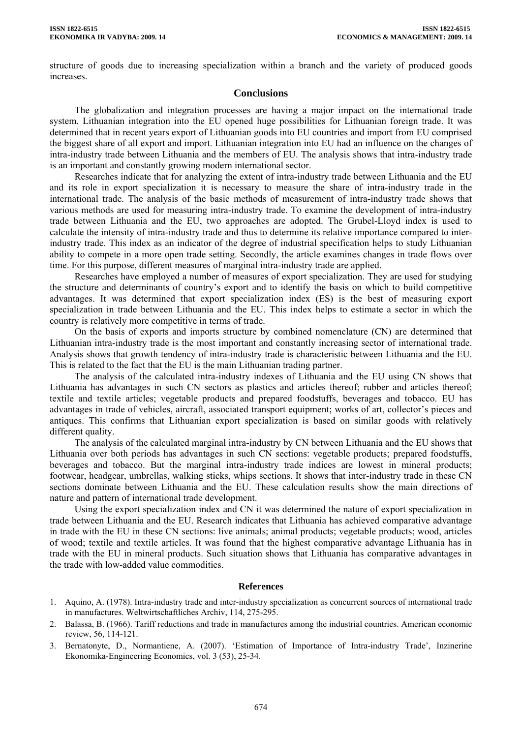structure of goods due to increasing specialization within a branch and the variety of produced goods increases.

## **Conclusions**

The globalization and integration processes are having a major impact on the international trade system. Lithuanian integration into the EU opened huge possibilities for Lithuanian foreign trade. It was determined that in recent years export of Lithuanian goods into EU countries and import from EU comprised the biggest share of all export and import. Lithuanian integration into EU had an influence on the changes of intra-industry trade between Lithuania and the members of EU. The analysis shows that intra-industry trade is an important and constantly growing modern international sector.

Researches indicate that for analyzing the extent of intra-industry trade between Lithuania and the EU and its role in export specialization it is necessary to measure the share of intra-industry trade in the international trade. The analysis of the basic methods of measurement of intra-industry trade shows that various methods are used for measuring intra-industry trade. To examine the development of intra-industry trade between Lithuania and the EU, two approaches are adopted. The Grubel-Lloyd index is used to calculate the intensity of intra-industry trade and thus to determine its relative importance compared to interindustry trade. This index as an indicator of the degree of industrial specification helps to study Lithuanian ability to compete in a more open trade setting. Secondly, the article examines changes in trade flows over time. For this purpose, different measures of marginal intra-industry trade are applied.

Researches have employed a number of measures of export specialization. They are used for studying the structure and determinants of country's export and to identify the basis on which to build competitive advantages. It was determined that export specialization index (ES) is the best of measuring export specialization in trade between Lithuania and the EU. This index helps to estimate a sector in which the country is relatively more competitive in terms of trade.

On the basis of exports and imports structure by combined nomenclature (CN) are determined that Lithuanian intra-industry trade is the most important and constantly increasing sector of international trade. Analysis shows that growth tendency of intra-industry trade is characteristic between Lithuania and the EU. This is related to the fact that the EU is the main Lithuanian trading partner.

The analysis of the calculated intra-industry indexes of Lithuania and the EU using CN shows that Lithuania has advantages in such CN sectors as plastics and articles thereof; rubber and articles thereof; textile and textile articles; vegetable products and prepared foodstuffs, beverages and tobacco. EU has advantages in trade of vehicles, aircraft, associated transport equipment; works of art, collector's pieces and antiques. This confirms that Lithuanian export specialization is based on similar goods with relatively different quality.

The analysis of the calculated marginal intra-industry by CN between Lithuania and the EU shows that Lithuania over both periods has advantages in such CN sections: vegetable products; prepared foodstuffs, beverages and tobacco. But the marginal intra-industry trade indices are lowest in mineral products; footwear, headgear, umbrellas, walking sticks, whips sections. It shows that inter-industry trade in these CN sections dominate between Lithuania and the EU. These calculation results show the main directions of nature and pattern of international trade development.

Using the export specialization index and CN it was determined the nature of export specialization in trade between Lithuania and the EU. Research indicates that Lithuania has achieved comparative advantage in trade with the EU in these CN sections: live animals; animal products; vegetable products; wood, articles of wood; textile and textile articles. It was found that the highest comparative advantage Lithuania has in trade with the EU in mineral products. Such situation shows that Lithuania has comparative advantages in the trade with low-added value commodities.

## **References**

- 1. Aquino, A. (1978). Intra-industry trade and inter-industry specialization as concurrent sources of international trade in manufactures. Weltwirtschaftliches Archiv, 114, 275-295.
- 2. Balassa, B. (1966). Tariff reductions and trade in manufactures among the industrial countries. American economic review, 56, 114-121.
- 3. Bernatonyte, D., Normantiene, A. (2007). 'Estimation of Importance of Intra-industry Trade', Inzinerine Ekonomika-Engineering Economics, vol. 3 (53), 25-34.